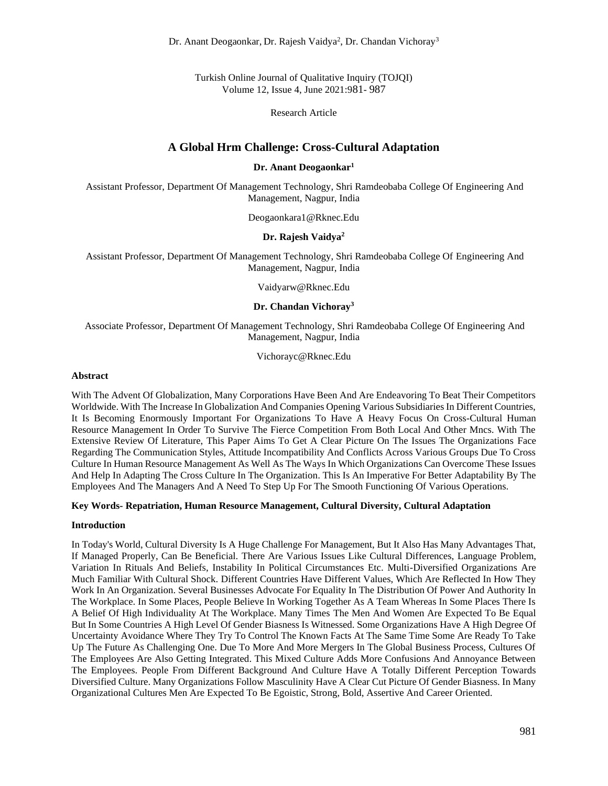Dr. Anant Deogaonkar, Dr. Rajesh Vaidya<sup>2</sup>, Dr. Chandan Vichoray<sup>3</sup>

Turkish Online Journal of Qualitative Inquiry (TOJQI) Volume 12, Issue 4, June 2021:981- 987

Research Article

# **A Global Hrm Challenge: Cross-Cultural Adaptation**

#### **Dr. Anant Deogaonkar<sup>1</sup>**

Assistant Professor, Department Of Management Technology, Shri Ramdeobaba College Of Engineering And Management, Nagpur, India

Deogaonkara1@Rknec.Edu

## **Dr. Rajesh Vaidya<sup>2</sup>**

Assistant Professor, Department Of Management Technology, Shri Ramdeobaba College Of Engineering And Management, Nagpur, India

Vaidyarw@Rknec.Edu

### **Dr. Chandan Vichoray<sup>3</sup>**

Associate Professor, Department Of Management Technology, Shri Ramdeobaba College Of Engineering And Management, Nagpur, India

Vichorayc@Rknec.Edu

#### **Abstract**

With The Advent Of Globalization, Many Corporations Have Been And Are Endeavoring To Beat Their Competitors Worldwide. With The Increase In Globalization And Companies Opening Various Subsidiaries In Different Countries, It Is Becoming Enormously Important For Organizations To Have A Heavy Focus On Cross-Cultural Human Resource Management In Order To Survive The Fierce Competition From Both Local And Other Mncs. With The Extensive Review Of Literature, This Paper Aims To Get A Clear Picture On The Issues The Organizations Face Regarding The Communication Styles, Attitude Incompatibility And Conflicts Across Various Groups Due To Cross Culture In Human Resource Management As Well As The Ways In Which Organizations Can Overcome These Issues And Help In Adapting The Cross Culture In The Organization. This Is An Imperative For Better Adaptability By The Employees And The Managers And A Need To Step Up For The Smooth Functioning Of Various Operations.

### **Key Words- Repatriation, Human Resource Management, Cultural Diversity, Cultural Adaptation**

#### **Introduction**

In Today's World, Cultural Diversity Is A Huge Challenge For Management, But It Also Has Many Advantages That, If Managed Properly, Can Be Beneficial. There Are Various Issues Like Cultural Differences, Language Problem, Variation In Rituals And Beliefs, Instability In Political Circumstances Etc. Multi-Diversified Organizations Are Much Familiar With Cultural Shock. Different Countries Have Different Values, Which Are Reflected In How They Work In An Organization. Several Businesses Advocate For Equality In The Distribution Of Power And Authority In The Workplace. In Some Places, People Believe In Working Together As A Team Whereas In Some Places There Is A Belief Of High Individuality At The Workplace. Many Times The Men And Women Are Expected To Be Equal But In Some Countries A High Level Of Gender Biasness Is Witnessed. Some Organizations Have A High Degree Of Uncertainty Avoidance Where They Try To Control The Known Facts At The Same Time Some Are Ready To Take Up The Future As Challenging One. Due To More And More Mergers In The Global Business Process, Cultures Of The Employees Are Also Getting Integrated. This Mixed Culture Adds More Confusions And Annoyance Between The Employees. People From Different Background And Culture Have A Totally Different Perception Towards Diversified Culture. Many Organizations Follow Masculinity Have A Clear Cut Picture Of Gender Biasness. In Many Organizational Cultures Men Are Expected To Be Egoistic, Strong, Bold, Assertive And Career Oriented.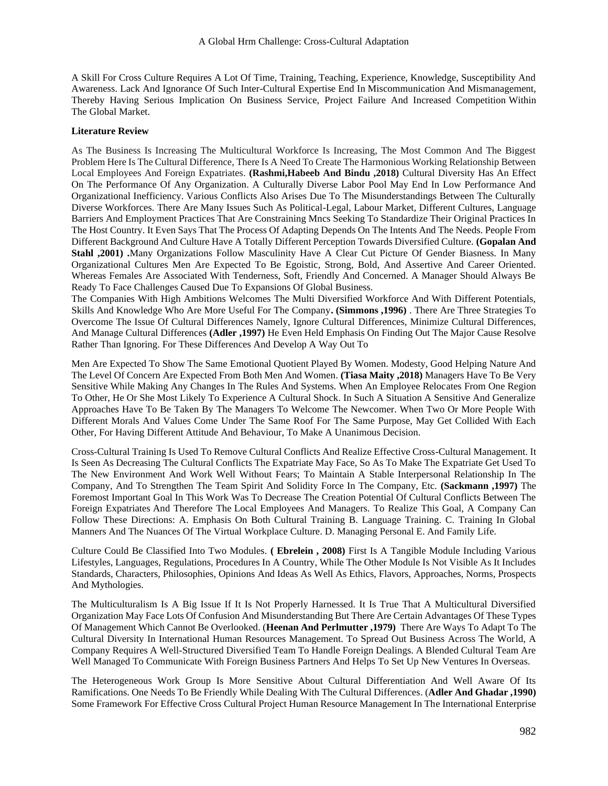A Skill For Cross Culture Requires A Lot Of Time, Training, Teaching, Experience, Knowledge, Susceptibility And Awareness. Lack And Ignorance Of Such Inter-Cultural Expertise End In Miscommunication And Mismanagement, Thereby Having Serious Implication On Business Service, Project Failure And Increased Competition Within The Global Market.

## **Literature Review**

As The Business Is Increasing The Multicultural Workforce Is Increasing, The Most Common And The Biggest Problem Here Is The Cultural Difference, There Is A Need To Create The Harmonious Working Relationship Between Local Employees And Foreign Expatriates. **(Rashmi,Habeeb And Bindu ,2018)** Cultural Diversity Has An Effect On The Performance Of Any Organization. A Culturally Diverse Labor Pool May End In Low Performance And Organizational Inefficiency. Various Conflicts Also Arises Due To The Misunderstandings Between The Culturally Diverse Workforces. There Are Many Issues Such As Political-Legal, Labour Market, Different Cultures, Language Barriers And Employment Practices That Are Constraining Mncs Seeking To Standardize Their Original Practices In The Host Country. It Even Says That The Process Of Adapting Depends On The Intents And The Needs. People From Different Background And Culture Have A Totally Different Perception Towards Diversified Culture. **(Gopalan And Stahl ,2001) .**Many Organizations Follow Masculinity Have A Clear Cut Picture Of Gender Biasness. In Many Organizational Cultures Men Are Expected To Be Egoistic, Strong, Bold, And Assertive And Career Oriented. Whereas Females Are Associated With Tenderness, Soft, Friendly And Concerned. A Manager Should Always Be Ready To Face Challenges Caused Due To Expansions Of Global Business.

The Companies With High Ambitions Welcomes The Multi Diversified Workforce And With Different Potentials, Skills And Knowledge Who Are More Useful For The Company**. (Simmons ,1996)** . There Are Three Strategies To Overcome The Issue Of Cultural Differences Namely, Ignore Cultural Differences, Minimize Cultural Differences, And Manage Cultural Differences **(Adler ,1997)** He Even Held Emphasis On Finding Out The Major Cause Resolve Rather Than Ignoring. For These Differences And Develop A Way Out To

Men Are Expected To Show The Same Emotional Quotient Played By Women. Modesty, Good Helping Nature And The Level Of Concern Are Expected From Both Men And Women. **(Tiasa Maity ,2018)** Managers Have To Be Very Sensitive While Making Any Changes In The Rules And Systems. When An Employee Relocates From One Region To Other, He Or She Most Likely To Experience A Cultural Shock. In Such A Situation A Sensitive And Generalize Approaches Have To Be Taken By The Managers To Welcome The Newcomer. When Two Or More People With Different Morals And Values Come Under The Same Roof For The Same Purpose, May Get Collided With Each Other, For Having Different Attitude And Behaviour, To Make A Unanimous Decision.

Cross-Cultural Training Is Used To Remove Cultural Conflicts And Realize Effective Cross-Cultural Management. It Is Seen As Decreasing The Cultural Conflicts The Expatriate May Face, So As To Make The Expatriate Get Used To The New Environment And Work Well Without Fears; To Maintain A Stable Interpersonal Relationship In The Company, And To Strengthen The Team Spirit And Solidity Force In The Company, Etc. **(Sackmann ,1997)** The Foremost Important Goal In This Work Was To Decrease The Creation Potential Of Cultural Conflicts Between The Foreign Expatriates And Therefore The Local Employees And Managers. To Realize This Goal, A Company Can Follow These Directions: A. Emphasis On Both Cultural Training B. Language Training. C. Training In Global Manners And The Nuances Of The Virtual Workplace Culture. D. Managing Personal E. And Family Life.

Culture Could Be Classified Into Two Modules. **( Ebrelein , 2008)** First Is A Tangible Module Including Various Lifestyles, Languages, Regulations, Procedures In A Country, While The Other Module Is Not Visible As It Includes Standards, Characters, Philosophies, Opinions And Ideas As Well As Ethics, Flavors, Approaches, Norms, Prospects And Mythologies.

The Multiculturalism Is A Big Issue If It Is Not Properly Harnessed. It Is True That A Multicultural Diversified Organization May Face Lots Of Confusion And Misunderstanding But There Are Certain Advantages Of These Types Of Management Which Cannot Be Overlooked. (**Heenan And Perlmutter ,1979)** There Are Ways To Adapt To The Cultural Diversity In International Human Resources Management. To Spread Out Business Across The World, A Company Requires A Well-Structured Diversified Team To Handle Foreign Dealings. A Blended Cultural Team Are Well Managed To Communicate With Foreign Business Partners And Helps To Set Up New Ventures In Overseas.

The Heterogeneous Work Group Is More Sensitive About Cultural Differentiation And Well Aware Of Its Ramifications. One Needs To Be Friendly While Dealing With The Cultural Differences. (**Adler And Ghadar ,1990)**  Some Framework For Effective Cross Cultural Project Human Resource Management In The International Enterprise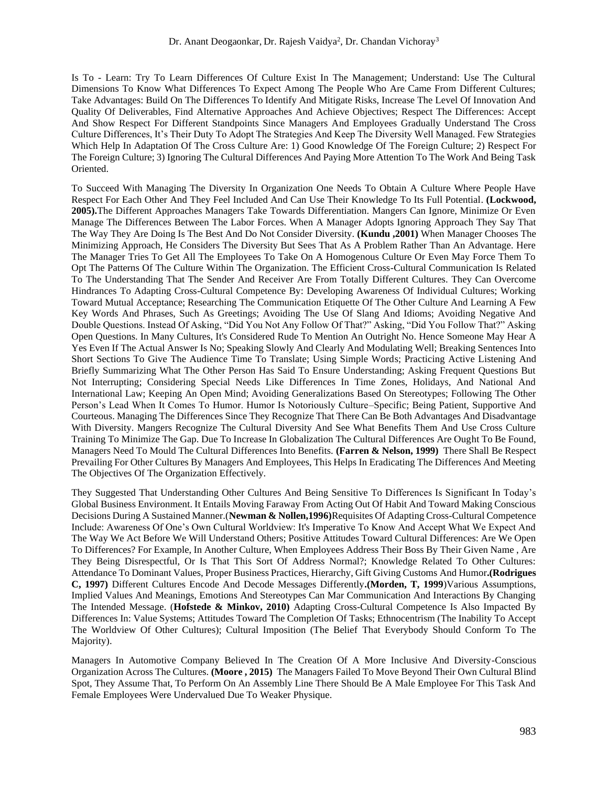Is To - Learn: Try To Learn Differences Of Culture Exist In The Management; Understand: Use The Cultural Dimensions To Know What Differences To Expect Among The People Who Are Came From Different Cultures; Take Advantages: Build On The Differences To Identify And Mitigate Risks, Increase The Level Of Innovation And Quality Of Deliverables, Find Alternative Approaches And Achieve Objectives; Respect The Differences: Accept And Show Respect For Different Standpoints Since Managers And Employees Gradually Understand The Cross Culture Differences, It's Their Duty To Adopt The Strategies And Keep The Diversity Well Managed. Few Strategies Which Help In Adaptation Of The Cross Culture Are: 1) Good Knowledge Of The Foreign Culture; 2) Respect For The Foreign Culture; 3) Ignoring The Cultural Differences And Paying More Attention To The Work And Being Task Oriented.

To Succeed With Managing The Diversity In Organization One Needs To Obtain A Culture Where People Have Respect For Each Other And They Feel Included And Can Use Their Knowledge To Its Full Potential. **(Lockwood, 2005).**The Different Approaches Managers Take Towards Differentiation. Mangers Can Ignore, Minimize Or Even Manage The Differences Between The Labor Forces. When A Manager Adopts Ignoring Approach They Say That The Way They Are Doing Is The Best And Do Not Consider Diversity. **(Kundu ,2001)** When Manager Chooses The Minimizing Approach, He Considers The Diversity But Sees That As A Problem Rather Than An Advantage. Here The Manager Tries To Get All The Employees To Take On A Homogenous Culture Or Even May Force Them To Opt The Patterns Of The Culture Within The Organization. The Efficient Cross-Cultural Communication Is Related To The Understanding That The Sender And Receiver Are From Totally Different Cultures. They Can Overcome Hindrances To Adapting Cross-Cultural Competence By: Developing Awareness Of Individual Cultures; Working Toward Mutual Acceptance; Researching The Communication Etiquette Of The Other Culture And Learning A Few Key Words And Phrases, Such As Greetings; Avoiding The Use Of Slang And Idioms; Avoiding Negative And Double Questions. Instead Of Asking, "Did You Not Any Follow Of That?" Asking, "Did You Follow That?" Asking Open Questions. In Many Cultures, It's Considered Rude To Mention An Outright No. Hence Someone May Hear A Yes Even If The Actual Answer Is No; Speaking Slowly And Clearly And Modulating Well; Breaking Sentences Into Short Sections To Give The Audience Time To Translate; Using Simple Words; Practicing Active Listening And Briefly Summarizing What The Other Person Has Said To Ensure Understanding; Asking Frequent Questions But Not Interrupting; Considering Special Needs Like Differences In Time Zones, Holidays, And National And International Law; Keeping An Open Mind; Avoiding Generalizations Based On Stereotypes; Following The Other Person's Lead When It Comes To Humor. Humor Is Notoriously Culture–Specific; Being Patient, Supportive And Courteous. Managing The Differences Since They Recognize That There Can Be Both Advantages And Disadvantage With Diversity. Mangers Recognize The Cultural Diversity And See What Benefits Them And Use Cross Culture Training To Minimize The Gap. Due To Increase In Globalization The Cultural Differences Are Ought To Be Found, Managers Need To Mould The Cultural Differences Into Benefits. **(Farren & Nelson, 1999)** There Shall Be Respect Prevailing For Other Cultures By Managers And Employees, This Helps In Eradicating The Differences And Meeting The Objectives Of The Organization Effectively.

They Suggested That Understanding Other Cultures And Being Sensitive To Differences Is Significant In Today's Global Business Environment. It Entails Moving Faraway From Acting Out Of Habit And Toward Making Conscious Decisions During A Sustained Manner.(**Newman & Nollen,1996)**Requisites Of Adapting Cross-Cultural Competence Include: Awareness Of One's Own Cultural Worldview: It's Imperative To Know And Accept What We Expect And The Way We Act Before We Will Understand Others; Positive Attitudes Toward Cultural Differences: Are We Open To Differences? For Example, In Another Culture, When Employees Address Their Boss By Their Given Name , Are They Being Disrespectful, Or Is That This Sort Of Address Normal?; Knowledge Related To Other Cultures: Attendance To Dominant Values, Proper Business Practices, Hierarchy, Gift Giving Customs And Humor**.(Rodrigues C, 1997)** Different Cultures Encode And Decode Messages Differently**.(Morden, T, 1999**)Various Assumptions, Implied Values And Meanings, Emotions And Stereotypes Can Mar Communication And Interactions By Changing The Intended Message. (**Hofstede & Minkov, 2010)** Adapting Cross-Cultural Competence Is Also Impacted By Differences In: Value Systems; Attitudes Toward The Completion Of Tasks; Ethnocentrism (The Inability To Accept The Worldview Of Other Cultures); Cultural Imposition (The Belief That Everybody Should Conform To The Majority).

Managers In Automotive Company Believed In The Creation Of A More Inclusive And Diversity-Conscious Organization Across The Cultures. **(Moore , 2015)** The Managers Failed To Move Beyond Their Own Cultural Blind Spot, They Assume That, To Perform On An Assembly Line There Should Be A Male Employee For This Task And Female Employees Were Undervalued Due To Weaker Physique.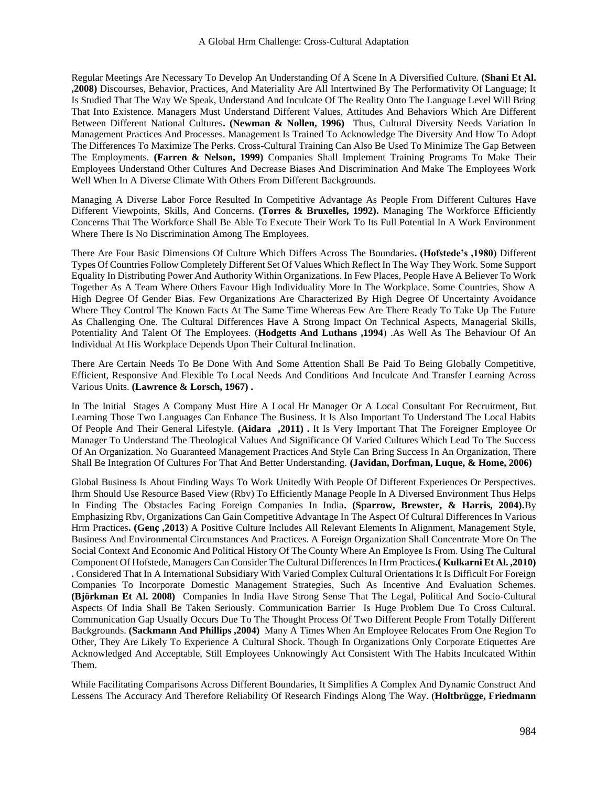Regular Meetings Are Necessary To Develop An Understanding Of A Scene In A Diversified Culture. **(Shani Et Al. ,2008)** Discourses, Behavior, Practices, And Materiality Are All Intertwined By The Performativity Of Language; It Is Studied That The Way We Speak, Understand And Inculcate Of The Reality Onto The Language Level Will Bring That Into Existence. Managers Must Understand Different Values, Attitudes And Behaviors Which Are Different Between Different National Cultures**. (Newman & Nollen, 1996)** Thus, Cultural Diversity Needs Variation In Management Practices And Processes. Management Is Trained To Acknowledge The Diversity And How To Adopt The Differences To Maximize The Perks. Cross-Cultural Training Can Also Be Used To Minimize The Gap Between The Employments. **(Farren & Nelson, 1999)** Companies Shall Implement Training Programs To Make Their Employees Understand Other Cultures And Decrease Biases And Discrimination And Make The Employees Work Well When In A Diverse Climate With Others From Different Backgrounds.

Managing A Diverse Labor Force Resulted In Competitive Advantage As People From Different Cultures Have Different Viewpoints, Skills, And Concerns. (Torres & Bruxelles, 1992). Managing The Workforce Efficiently Concerns That The Workforce Shall Be Able To Execute Their Work To Its Full Potential In A Work Environment Where There Is No Discrimination Among The Employees.

There Are Four Basic Dimensions Of Culture Which Differs Across The Boundaries**. (Hofstede's ,1980)** Different Types Of Countries Follow Completely Different Set Of Values Which Reflect In The Way They Work. Some Support Equality In Distributing Power And Authority Within Organizations. In Few Places, People Have A Believer To Work Together As A Team Where Others Favour High Individuality More In The Workplace. Some Countries, Show A High Degree Of Gender Bias. Few Organizations Are Characterized By High Degree Of Uncertainty Avoidance Where They Control The Known Facts At The Same Time Whereas Few Are There Ready To Take Up The Future As Challenging One. The Cultural Differences Have A Strong Impact On Technical Aspects, Managerial Skills, Potentiality And Talent Of The Employees. (**Hodgetts And Luthans ,1994**) .As Well As The Behaviour Of An Individual At His Workplace Depends Upon Their Cultural Inclination.

There Are Certain Needs To Be Done With And Some Attention Shall Be Paid To Being Globally Competitive, Efficient, Responsive And Flexible To Local Needs And Conditions And Inculcate And Transfer Learning Across Various Units. **(Lawrence & Lorsch, 1967) .**

In The Initial Stages A Company Must Hire A Local Hr Manager Or A Local Consultant For Recruitment, But Learning Those Two Languages Can Enhance The Business. It Is Also Important To Understand The Local Habits Of People And Their General Lifestyle. **(Aidara ,2011) .** It Is Very Important That The Foreigner Employee Or Manager To Understand The Theological Values And Significance Of Varied Cultures Which Lead To The Success Of An Organization. No Guaranteed Management Practices And Style Can Bring Success In An Organization, There Shall Be Integration Of Cultures For That And Better Understanding. **(Javidan, Dorfman, Luque, & Home, 2006)**

Global Business Is About Finding Ways To Work Unitedly With People Of Different Experiences Or Perspectives. Ihrm Should Use Resource Based View (Rbv) To Efficiently Manage People In A Diversed Environment Thus Helps In Finding The Obstacles Facing Foreign Companies In India**. (Sparrow, Brewster, & Harris, 2004).**By Emphasizing Rbv, Organizations Can Gain Competitive Advantage In The Aspect Of Cultural Differences In Various Hrm Practices**. (Genç ,2013**) A Positive Culture Includes All Relevant Elements In Alignment, Management Style, Business And Environmental Circumstances And Practices. A Foreign Organization Shall Concentrate More On The Social Context And Economic And Political History Of The County Where An Employee Is From. Using The Cultural Component Of Hofstede, Managers Can Consider The Cultural Differences In Hrm Practices**.( Kulkarni Et Al. ,2010) .** Considered That In A International Subsidiary With Varied Complex Cultural Orientations It Is Difficult For Foreign Companies To Incorporate Domestic Management Strategies, Such As Incentive And Evaluation Schemes. **(Björkman Et Al. 2008)** Companies In India Have Strong Sense That The Legal, Political And Socio-Cultural Aspects Of India Shall Be Taken Seriously. Communication Barrier Is Huge Problem Due To Cross Cultural. Communication Gap Usually Occurs Due To The Thought Process Of Two Different People From Totally Different Backgrounds. **(Sackmann And Phillips ,2004)** Many A Times When An Employee Relocates From One Region To Other, They Are Likely To Experience A Cultural Shock. Though In Organizations Only Corporate Etiquettes Are Acknowledged And Acceptable, Still Employees Unknowingly Act Consistent With The Habits Inculcated Within Them.

While Facilitating Comparisons Across Different Boundaries, It Simplifies A Complex And Dynamic Construct And Lessens The Accuracy And Therefore Reliability Of Research Findings Along The Way. (**Holtbrügge, Friedmann**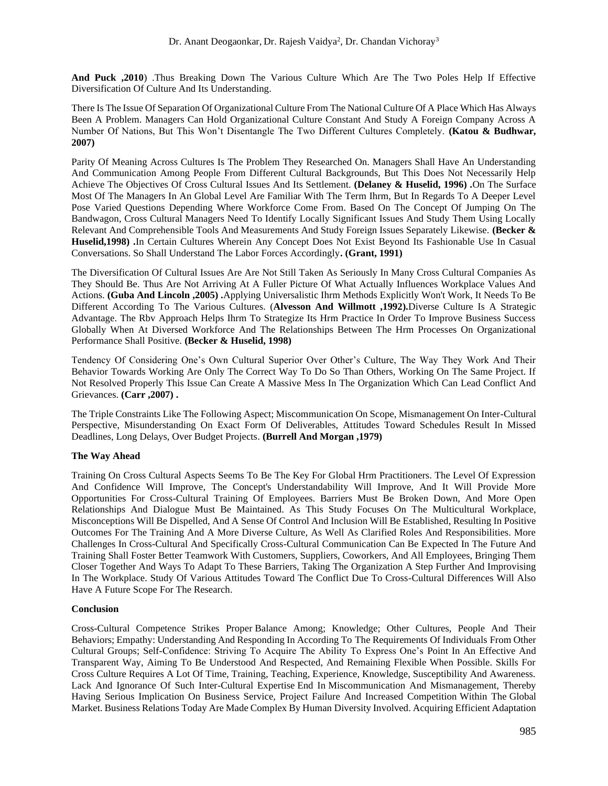**And Puck ,2010**) .Thus Breaking Down The Various Culture Which Are The Two Poles Help If Effective Diversification Of Culture And Its Understanding.

There Is The Issue Of Separation Of Organizational Culture From The National Culture Of A Place Which Has Always Been A Problem. Managers Can Hold Organizational Culture Constant And Study A Foreign Company Across A Number Of Nations, But This Won't Disentangle The Two Different Cultures Completely. **(Katou & Budhwar, 2007)**

Parity Of Meaning Across Cultures Is The Problem They Researched On. Managers Shall Have An Understanding And Communication Among People From Different Cultural Backgrounds, But This Does Not Necessarily Help Achieve The Objectives Of Cross Cultural Issues And Its Settlement. **(Delaney & Huselid, 1996) .**On The Surface Most Of The Managers In An Global Level Are Familiar With The Term Ihrm, But In Regards To A Deeper Level Pose Varied Questions Depending Where Workforce Come From. Based On The Concept Of Jumping On The Bandwagon, Cross Cultural Managers Need To Identify Locally Significant Issues And Study Them Using Locally Relevant And Comprehensible Tools And Measurements And Study Foreign Issues Separately Likewise. **(Becker & Huselid,1998) .**In Certain Cultures Wherein Any Concept Does Not Exist Beyond Its Fashionable Use In Casual Conversations. So Shall Understand The Labor Forces Accordingly**. (Grant, 1991)**

The Diversification Of Cultural Issues Are Are Not Still Taken As Seriously In Many Cross Cultural Companies As They Should Be. Thus Are Not Arriving At A Fuller Picture Of What Actually Influences Workplace Values And Actions. **(Guba And Lincoln ,2005) .**Applying Universalistic Ihrm Methods Explicitly Won't Work, It Needs To Be Different According To The Various Cultures. (**Alvesson And Willmott ,1992).**Diverse Culture Is A Strategic Advantage. The Rbv Approach Helps Ihrm To Strategize Its Hrm Practice In Order To Improve Business Success Globally When At Diversed Workforce And The Relationships Between The Hrm Processes On Organizational Performance Shall Positive. **(Becker & Huselid, 1998)**

Tendency Of Considering One's Own Cultural Superior Over Other's Culture, The Way They Work And Their Behavior Towards Working Are Only The Correct Way To Do So Than Others, Working On The Same Project. If Not Resolved Properly This Issue Can Create A Massive Mess In The Organization Which Can Lead Conflict And Grievances. **(Carr ,2007) .**

The Triple Constraints Like The Following Aspect; Miscommunication On Scope, Mismanagement On Inter-Cultural Perspective, Misunderstanding On Exact Form Of Deliverables, Attitudes Toward Schedules Result In Missed Deadlines, Long Delays, Over Budget Projects. **(Burrell And Morgan ,1979)**

## **The Way Ahead**

Training On Cross Cultural Aspects Seems To Be The Key For Global Hrm Practitioners. The Level Of Expression And Confidence Will Improve, The Concept's Understandability Will Improve, And It Will Provide More Opportunities For Cross-Cultural Training Of Employees. Barriers Must Be Broken Down, And More Open Relationships And Dialogue Must Be Maintained. As This Study Focuses On The Multicultural Workplace, Misconceptions Will Be Dispelled, And A Sense Of Control And Inclusion Will Be Established, Resulting In Positive Outcomes For The Training And A More Diverse Culture, As Well As Clarified Roles And Responsibilities. More Challenges In Cross-Cultural And Specifically Cross-Cultural Communication Can Be Expected In The Future And Training Shall Foster Better Teamwork With Customers, Suppliers, Coworkers, And All Employees, Bringing Them Closer Together And Ways To Adapt To These Barriers, Taking The Organization A Step Further And Improvising In The Workplace. Study Of Various Attitudes Toward The Conflict Due To Cross-Cultural Differences Will Also Have A Future Scope For The Research.

## **Conclusion**

Cross-Cultural Competence Strikes Proper Balance Among; Knowledge; Other Cultures, People And Their Behaviors; Empathy: Understanding And Responding In According To The Requirements Of Individuals From Other Cultural Groups; Self-Confidence: Striving To Acquire The Ability To Express One's Point In An Effective And Transparent Way, Aiming To Be Understood And Respected, And Remaining Flexible When Possible. Skills For Cross Culture Requires A Lot Of Time, Training, Teaching, Experience, Knowledge, Susceptibility And Awareness. Lack And Ignorance Of Such Inter-Cultural Expertise End In Miscommunication And Mismanagement, Thereby Having Serious Implication On Business Service, Project Failure And Increased Competition Within The Global Market. Business Relations Today Are Made Complex By Human Diversity Involved. Acquiring Efficient Adaptation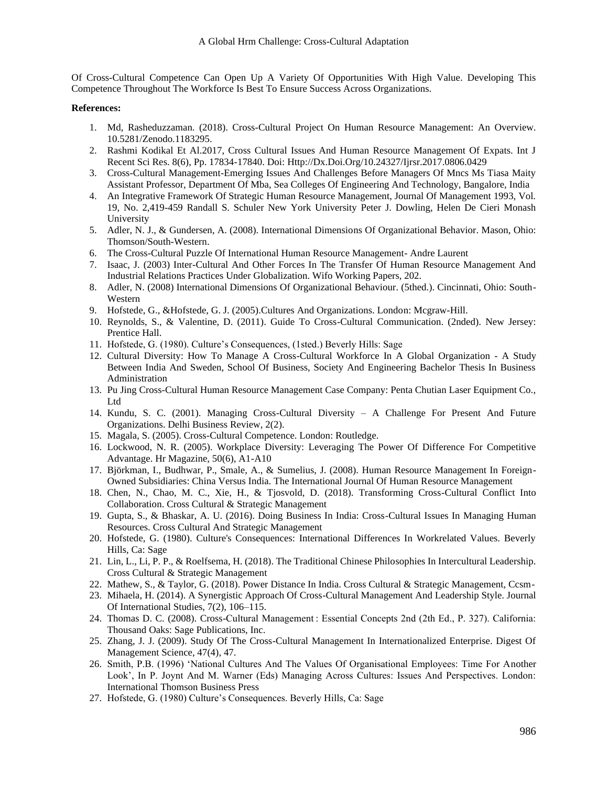Of Cross-Cultural Competence Can Open Up A Variety Of Opportunities With High Value. Developing This Competence Throughout The Workforce Is Best To Ensure Success Across Organizations.

## **References:**

- 1. Md, Rasheduzzaman. (2018). Cross-Cultural Project On Human Resource Management: An Overview. 10.5281/Zenodo.1183295.
- 2. Rashmi Kodikal Et Al.2017, Cross Cultural Issues And Human Resource Management Of Expats. Int J Recent Sci Res. 8(6), Pp. 17834-17840. Doi: [Http://Dx.Doi.Org/10.24327/Ijrsr.2017.0806.0429](http://dx.doi.org/10.24327/ijrsr.2017.0806.0429)
- 3. Cross-Cultural Management-Emerging Issues And Challenges Before Managers Of Mncs Ms Tiasa Maity Assistant Professor, Department Of Mba, Sea Colleges Of Engineering And Technology, Bangalore, India
- 4. An Integrative Framework Of Strategic Human Resource Management, Journal Of Management 1993, Vol. 19, No. 2,419-459 Randall S. Schuler New York University Peter J. Dowling, Helen De Cieri Monash University
- 5. Adler, N. J., & Gundersen, A. (2008). International Dimensions Of Organizational Behavior. Mason, Ohio: Thomson/South-Western.
- 6. The Cross-Cultural Puzzle Of International Human Resource Management- Andre Laurent
- 7. Isaac, J. (2003) Inter-Cultural And Other Forces In The Transfer Of Human Resource Management And Industrial Relations Practices Under Globalization. Wifo Working Papers, 202.
- 8. Adler, N. (2008) International Dimensions Of Organizational Behaviour. (5thed.). Cincinnati, Ohio: South-Western
- 9. Hofstede, G., &Hofstede, G. J. (2005).Cultures And Organizations. London: Mcgraw-Hill.
- 10. Reynolds, S., & Valentine, D. (2011). Guide To Cross-Cultural Communication. (2nded). New Jersey: Prentice Hall.
- 11. Hofstede, G. (1980). Culture's Consequences, (1sted.) Beverly Hills: Sage
- 12. Cultural Diversity: How To Manage A Cross-Cultural Workforce In A Global Organization A Study Between India And Sweden, School Of Business, Society And Engineering Bachelor Thesis In Business Administration
- 13. Pu Jing Cross-Cultural Human Resource Management Case Company: Penta Chutian Laser Equipment Co., Ltd
- 14. Kundu, S. C. (2001). Managing Cross-Cultural Diversity A Challenge For Present And Future Organizations. Delhi Business Review, 2(2).
- 15. Magala, S. (2005). Cross-Cultural Competence. London: Routledge.
- 16. Lockwood, N. R. (2005). Workplace Diversity: Leveraging The Power Of Difference For Competitive Advantage. Hr Magazine, 50(6), A1-A10
- 17. Björkman, I., Budhwar, P., Smale, A., & Sumelius, J. (2008). Human Resource Management In Foreign-Owned Subsidiaries: China Versus India. The International Journal Of Human Resource Management
- 18. Chen, N., Chao, M. C., Xie, H., & Tjosvold, D. (2018). Transforming Cross-Cultural Conflict Into Collaboration. Cross Cultural & Strategic Management
- 19. Gupta, S., & Bhaskar, A. U. (2016). Doing Business In India: Cross-Cultural Issues In Managing Human Resources. Cross Cultural And Strategic Management
- 20. Hofstede, G. (1980). Culture's Consequences: International Differences In Workrelated Values. Beverly Hills, Ca: Sage
- 21. Lin, L., Li, P. P., & Roelfsema, H. (2018). The Traditional Chinese Philosophies In Intercultural Leadership. Cross Cultural & Strategic Management
- 22. Mathew, S., & Taylor, G. (2018). Power Distance In India. Cross Cultural & Strategic Management, Ccsm-
- 23. Mihaela, H. (2014). A Synergistic Approach Of Cross-Cultural Management And Leadership Style. Journal Of International Studies, 7(2), 106–115.
- 24. Thomas D. C. (2008). Cross-Cultural Management : Essential Concepts 2nd (2th Ed., P. 327). California: Thousand Oaks: Sage Publications, Inc.
- 25. Zhang, J. J. (2009). Study Of The Cross-Cultural Management In Internationalized Enterprise. Digest Of Management Science, 47(4), 47.
- 26. Smith, P.B. (1996) 'National Cultures And The Values Of Organisational Employees: Time For Another Look', In P. Joynt And M. Warner (Eds) Managing Across Cultures: Issues And Perspectives. London: International Thomson Business Press
- 27. Hofstede, G. (1980) Culture's Consequences. Beverly Hills, Ca: Sage